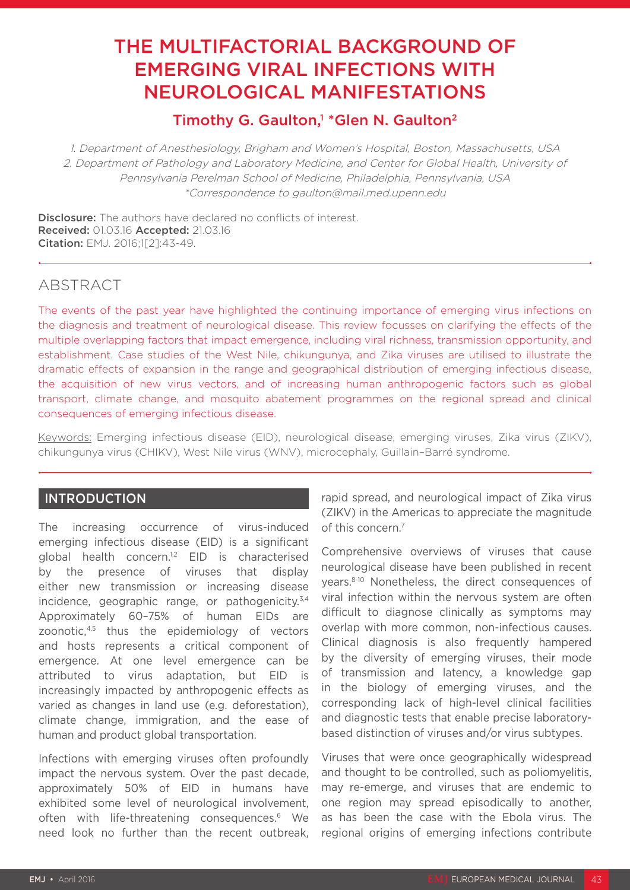# THE MULTIFACTORIAL BACKGROUND OF EMERGING VIRAL INFECTIONS WITH NEUROLOGICAL MANIFESTATIONS

## Timothy G. Gaulton,<sup>1</sup> \*Glen N. Gaulton<sup>2</sup>

1. Department of Anesthesiology, Brigham and Women's Hospital, Boston, Massachusetts, USA 2. Department of Pathology and Laboratory Medicine, and Center for Global Health, University of Pennsylvania Perelman School of Medicine, Philadelphia, Pennsylvania, USA \*Correspondence to gaulton@mail.med.upenn.edu

Disclosure: The authors have declared no conflicts of interest. Received: 01.03.16 Accepted: 21.03.16 Citation: EMJ. 2016;1[2]:43-49.

### **ABSTRACT**

The events of the past year have highlighted the continuing importance of emerging virus infections on the diagnosis and treatment of neurological disease. This review focusses on clarifying the effects of the multiple overlapping factors that impact emergence, including viral richness, transmission opportunity, and establishment. Case studies of the West Nile, chikungunya, and Zika viruses are utilised to illustrate the dramatic effects of expansion in the range and geographical distribution of emerging infectious disease, the acquisition of new virus vectors, and of increasing human anthropogenic factors such as global transport, climate change, and mosquito abatement programmes on the regional spread and clinical consequences of emerging infectious disease.

Keywords: Emerging infectious disease (EID), neurological disease, emerging viruses, Zika virus (ZIKV), chikungunya virus (CHIKV), West Nile virus (WNV), microcephaly, Guillain–Barré syndrome.

#### **INTRODUCTION**

The increasing occurrence of virus-induced emerging infectious disease (EID) is a significant global health concern.<sup>1,2</sup> EID is characterised by the presence of viruses that display either new transmission or increasing disease incidence, geographic range, or pathogenicity.<sup>3,4</sup> Approximately 60–75% of human EIDs are zoonotic,4,5 thus the epidemiology of vectors and hosts represents a critical component of emergence. At one level emergence can be attributed to virus adaptation, but EID is increasingly impacted by anthropogenic effects as varied as changes in land use (e.g. deforestation), climate change, immigration, and the ease of human and product global transportation.

Infections with emerging viruses often profoundly impact the nervous system. Over the past decade, approximately 50% of EID in humans have exhibited some level of neurological involvement, often with life-threatening consequences.<sup>6</sup> We need look no further than the recent outbreak,

rapid spread, and neurological impact of Zika virus (ZIKV) in the Americas to appreciate the magnitude of this concern.7

Comprehensive overviews of viruses that cause neurological disease have been published in recent years.8-10 Nonetheless, the direct consequences of viral infection within the nervous system are often difficult to diagnose clinically as symptoms may overlap with more common, non-infectious causes. Clinical diagnosis is also frequently hampered by the diversity of emerging viruses, their mode of transmission and latency, a knowledge gap in the biology of emerging viruses, and the corresponding lack of high-level clinical facilities and diagnostic tests that enable precise laboratorybased distinction of viruses and/or virus subtypes.

Viruses that were once geographically widespread and thought to be controlled, such as poliomyelitis, may re-emerge, and viruses that are endemic to one region may spread episodically to another, as has been the case with the Ebola virus. The regional origins of emerging infections contribute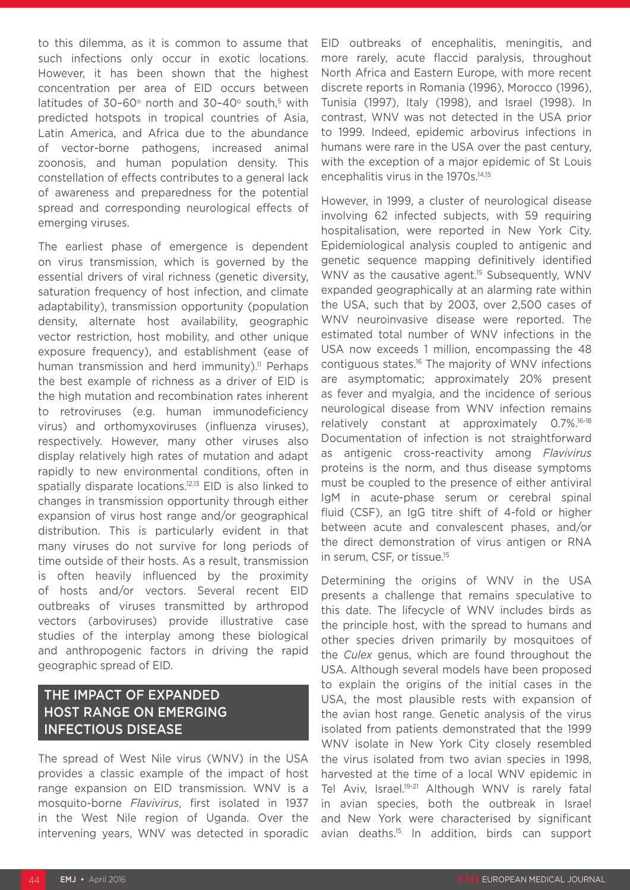to this dilemma, as it is common to assume that such infections only occur in exotic locations. However, it has been shown that the highest concentration per area of EID occurs between latitudes of  $30-60^\circ$  north and  $30-40^\circ$  south.<sup>5</sup> with predicted hotspots in tropical countries of Asia, Latin America, and Africa due to the abundance of vector-borne pathogens, increased animal zoonosis, and human population density. This constellation of effects contributes to a general lack of awareness and preparedness for the potential spread and corresponding neurological effects of emerging viruses.

The earliest phase of emergence is dependent on virus transmission, which is governed by the essential drivers of viral richness (genetic diversity, saturation frequency of host infection, and climate adaptability), transmission opportunity (population density, alternate host availability, geographic vector restriction, host mobility, and other unique exposure frequency), and establishment (ease of human transmission and herd immunity).<sup>11</sup> Perhaps the best example of richness as a driver of EID is the high mutation and recombination rates inherent to retroviruses (e.g. human immunodeficiency virus) and orthomyxoviruses (influenza viruses), respectively. However, many other viruses also display relatively high rates of mutation and adapt rapidly to new environmental conditions, often in spatially disparate locations.<sup>12,13</sup> EID is also linked to changes in transmission opportunity through either expansion of virus host range and/or geographical distribution. This is particularly evident in that many viruses do not survive for long periods of time outside of their hosts. As a result, transmission is often heavily influenced by the proximity of hosts and/or vectors. Several recent EID outbreaks of viruses transmitted by arthropod vectors (arboviruses) provide illustrative case studies of the interplay among these biological and anthropogenic factors in driving the rapid geographic spread of EID.

#### THE IMPACT OF EXPANDED HOST RANGE ON EMERGING INFECTIOUS DISEASE

The spread of West Nile virus (WNV) in the USA provides a classic example of the impact of host range expansion on EID transmission. WNV is a mosquito-borne *Flavivirus*, first isolated in 1937 in the West Nile region of Uganda. Over the intervening years, WNV was detected in sporadic

EID outbreaks of encephalitis, meningitis, and more rarely, acute flaccid paralysis, throughout North Africa and Eastern Europe, with more recent discrete reports in Romania (1996), Morocco (1996), Tunisia (1997), Italy (1998), and Israel (1998). In contrast, WNV was not detected in the USA prior to 1999. Indeed, epidemic arbovirus infections in humans were rare in the USA over the past century, with the exception of a major epidemic of St Louis encephalitis virus in the 1970s.<sup>14,15</sup>

However, in 1999, a cluster of neurological disease involving 62 infected subjects, with 59 requiring hospitalisation, were reported in New York City. Epidemiological analysis coupled to antigenic and genetic sequence mapping definitively identified WNV as the causative agent.<sup>15</sup> Subsequently, WNV expanded geographically at an alarming rate within the USA, such that by 2003, over 2,500 cases of WNV neuroinvasive disease were reported. The estimated total number of WNV infections in the USA now exceeds 1 million, encompassing the 48 contiguous states.16 The majority of WNV infections are asymptomatic; approximately 20% present as fever and myalgia, and the incidence of serious neurological disease from WNV infection remains relatively constant at approximately 0.7%.16-18 Documentation of infection is not straightforward as antigenic cross-reactivity among *Flavivirus* proteins is the norm, and thus disease symptoms must be coupled to the presence of either antiviral IgM in acute-phase serum or cerebral spinal fluid (CSF), an IgG titre shift of 4-fold or higher between acute and convalescent phases, and/or the direct demonstration of virus antigen or RNA in serum, CSF, or tissue.15

Determining the origins of WNV in the USA presents a challenge that remains speculative to this date. The lifecycle of WNV includes birds as the principle host, with the spread to humans and other species driven primarily by mosquitoes of the *Culex* genus, which are found throughout the USA. Although several models have been proposed to explain the origins of the initial cases in the USA, the most plausible rests with expansion of the avian host range. Genetic analysis of the virus isolated from patients demonstrated that the 1999 WNV isolate in New York City closely resembled the virus isolated from two avian species in 1998, harvested at the time of a local WNV epidemic in Tel Aviv, Israel.<sup>19-21</sup> Although WNV is rarely fatal in avian species, both the outbreak in Israel and New York were characterised by significant avian deaths.15 In addition, birds can support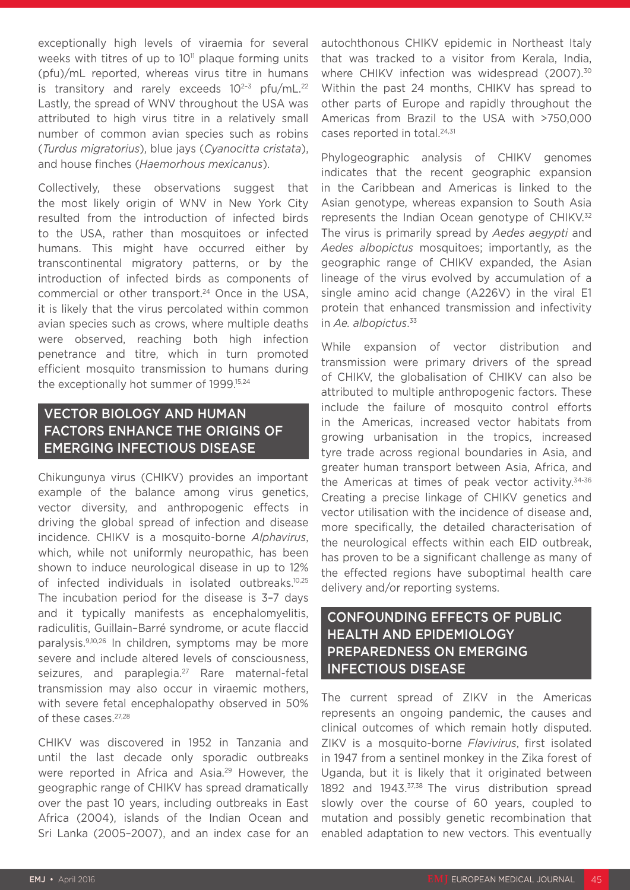exceptionally high levels of viraemia for several weeks with titres of up to  $10<sup>11</sup>$  plaque forming units (pfu)/mL reported, whereas virus titre in humans is transitory and rarely exceeds  $10^{2-3}$  pfu/mL.<sup>22</sup> Lastly, the spread of WNV throughout the USA was attributed to high virus titre in a relatively small number of common avian species such as robins (*Turdus migratorius*), blue jays (*Cyanocitta cristata*), and house finches (*Haemorhous mexicanus*).

Collectively, these observations suggest that the most likely origin of WNV in New York City resulted from the introduction of infected birds to the USA, rather than mosquitoes or infected humans. This might have occurred either by transcontinental migratory patterns, or by the introduction of infected birds as components of commercial or other transport.24 Once in the USA, it is likely that the virus percolated within common avian species such as crows, where multiple deaths were observed, reaching both high infection penetrance and titre, which in turn promoted efficient mosquito transmission to humans during the exceptionally hot summer of 1999.15,24

### VECTOR BIOLOGY AND HUMAN FACTORS ENHANCE THE ORIGINS OF EMERGING INFECTIOUS DISEASE

Chikungunya virus (CHIKV) provides an important example of the balance among virus genetics, vector diversity, and anthropogenic effects in driving the global spread of infection and disease incidence. CHIKV is a mosquito-borne *Alphavirus*, which, while not uniformly neuropathic, has been shown to induce neurological disease in up to 12% of infected individuals in isolated outbreaks.<sup>10,25</sup> The incubation period for the disease is 3–7 days and it typically manifests as encephalomyelitis, radiculitis, Guillain–Barré syndrome, or acute flaccid paralysis.9,10,26 In children, symptoms may be more severe and include altered levels of consciousness, seizures, and paraplegia.<sup>27</sup> Rare maternal-fetal transmission may also occur in viraemic mothers, with severe fetal encephalopathy observed in 50% of these cases.27,28

CHIKV was discovered in 1952 in Tanzania and until the last decade only sporadic outbreaks were reported in Africa and Asia.<sup>29</sup> However, the geographic range of CHIKV has spread dramatically over the past 10 years, including outbreaks in East Africa (2004), islands of the Indian Ocean and Sri Lanka (2005–2007), and an index case for an autochthonous CHIKV epidemic in Northeast Italy that was tracked to a visitor from Kerala, India, where CHIKV infection was widespread (2007).<sup>30</sup> Within the past 24 months, CHIKV has spread to other parts of Europe and rapidly throughout the Americas from Brazil to the USA with >750,000 cases reported in total.<sup>24,31</sup>

Phylogeographic analysis of CHIKV genomes indicates that the recent geographic expansion in the Caribbean and Americas is linked to the Asian genotype, whereas expansion to South Asia represents the Indian Ocean genotype of CHIKV.<sup>32</sup> The virus is primarily spread by *Aedes aegypti* and *Aedes albopictus* mosquitoes; importantly, as the geographic range of CHIKV expanded, the Asian lineage of the virus evolved by accumulation of a single amino acid change (A226V) in the viral E1 protein that enhanced transmission and infectivity in *Ae. albopictus*. 33

While expansion of vector distribution and transmission were primary drivers of the spread of CHIKV, the globalisation of CHIKV can also be attributed to multiple anthropogenic factors. These include the failure of mosquito control efforts in the Americas, increased vector habitats from growing urbanisation in the tropics, increased tyre trade across regional boundaries in Asia, and greater human transport between Asia, Africa, and the Americas at times of peak vector activity.<sup>34-36</sup> Creating a precise linkage of CHIKV genetics and vector utilisation with the incidence of disease and, more specifically, the detailed characterisation of the neurological effects within each EID outbreak, has proven to be a significant challenge as many of the effected regions have suboptimal health care delivery and/or reporting systems.

### CONFOUNDING EFFECTS OF PUBLIC HEALTH AND EPIDEMIOLOGY PREPAREDNESS ON EMERGING INFECTIOUS DISEASE

The current spread of ZIKV in the Americas represents an ongoing pandemic, the causes and clinical outcomes of which remain hotly disputed. ZIKV is a mosquito-borne *Flavivirus*, first isolated in 1947 from a sentinel monkey in the Zika forest of Uganda, but it is likely that it originated between 1892 and 1943.37,38 The virus distribution spread slowly over the course of 60 years, coupled to mutation and possibly genetic recombination that enabled adaptation to new vectors. This eventually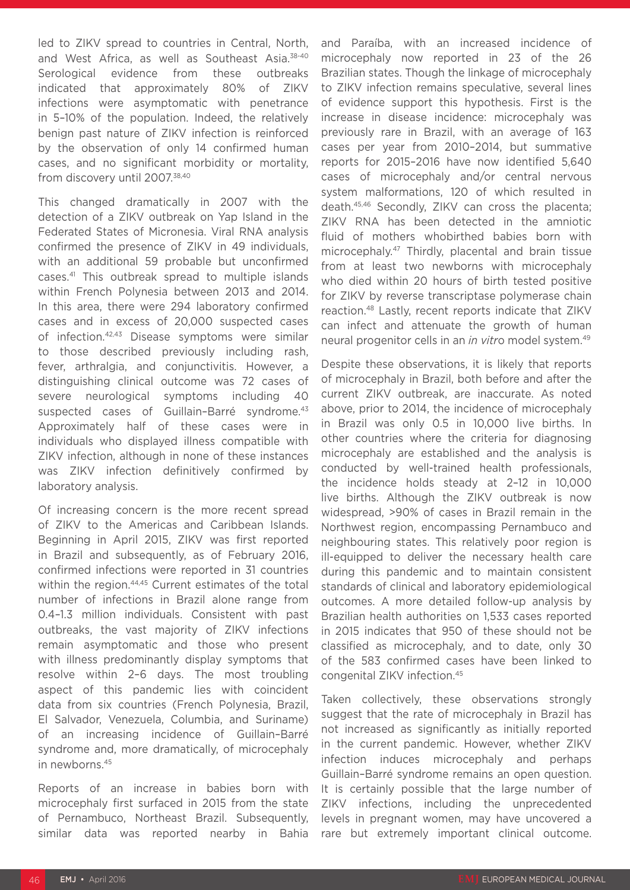led to ZIKV spread to countries in Central, North, and West Africa, as well as Southeast Asia.<sup>38-40</sup> Serological evidence from these outbreaks indicated that approximately 80% of ZIKV infections were asymptomatic with penetrance in 5–10% of the population. Indeed, the relatively benign past nature of ZIKV infection is reinforced by the observation of only 14 confirmed human cases, and no significant morbidity or mortality, from discovery until 2007.38,40

This changed dramatically in 2007 with the detection of a ZIKV outbreak on Yap Island in the Federated States of Micronesia. Viral RNA analysis confirmed the presence of ZIKV in 49 individuals, with an additional 59 probable but unconfirmed cases.41 This outbreak spread to multiple islands within French Polynesia between 2013 and 2014. In this area, there were 294 laboratory confirmed cases and in excess of 20,000 suspected cases of infection.42,43 Disease symptoms were similar to those described previously including rash, fever, arthralgia, and conjunctivitis. However, a distinguishing clinical outcome was 72 cases of severe neurological symptoms including 40 suspected cases of Guillain-Barré syndrome.<sup>43</sup> Approximately half of these cases were in individuals who displayed illness compatible with ZIKV infection, although in none of these instances was ZIKV infection definitively confirmed by laboratory analysis.

Of increasing concern is the more recent spread of ZIKV to the Americas and Caribbean Islands. Beginning in April 2015, ZIKV was first reported in Brazil and subsequently, as of February 2016, confirmed infections were reported in 31 countries within the region.<sup>44,45</sup> Current estimates of the total number of infections in Brazil alone range from 0.4–1.3 million individuals. Consistent with past outbreaks, the vast majority of ZIKV infections remain asymptomatic and those who present with illness predominantly display symptoms that resolve within 2–6 days. The most troubling aspect of this pandemic lies with coincident data from six countries (French Polynesia, Brazil, El Salvador, Venezuela, Columbia, and Suriname) of an increasing incidence of Guillain–Barré syndrome and, more dramatically, of microcephaly in newborns.45

Reports of an increase in babies born with microcephaly first surfaced in 2015 from the state of Pernambuco, Northeast Brazil. Subsequently, similar data was reported nearby in Bahia and Paraíba, with an increased incidence of microcephaly now reported in 23 of the 26 Brazilian states. Though the linkage of microcephaly to ZIKV infection remains speculative, several lines of evidence support this hypothesis. First is the increase in disease incidence: microcephaly was previously rare in Brazil, with an average of 163 cases per year from 2010–2014, but summative reports for 2015–2016 have now identified 5,640 cases of microcephaly and/or central nervous system malformations, 120 of which resulted in death.45,46 Secondly, ZIKV can cross the placenta; ZIKV RNA has been detected in the amniotic fluid of mothers whobirthed babies born with microcephaly.47 Thirdly, placental and brain tissue from at least two newborns with microcephaly who died within 20 hours of birth tested positive for ZIKV by reverse transcriptase polymerase chain reaction.48 Lastly, recent reports indicate that ZIKV can infect and attenuate the growth of human neural progenitor cells in an *in vitr*o model system.49

Despite these observations, it is likely that reports of microcephaly in Brazil, both before and after the current ZIKV outbreak, are inaccurate. As noted above, prior to 2014, the incidence of microcephaly in Brazil was only 0.5 in 10,000 live births. In other countries where the criteria for diagnosing microcephaly are established and the analysis is conducted by well-trained health professionals, the incidence holds steady at 2–12 in 10,000 live births. Although the ZIKV outbreak is now widespread, >90% of cases in Brazil remain in the Northwest region, encompassing Pernambuco and neighbouring states. This relatively poor region is ill-equipped to deliver the necessary health care during this pandemic and to maintain consistent standards of clinical and laboratory epidemiological outcomes. A more detailed follow-up analysis by Brazilian health authorities on 1,533 cases reported in 2015 indicates that 950 of these should not be classified as microcephaly, and to date, only 30 of the 583 confirmed cases have been linked to congenital ZIKV infection.45

Taken collectively, these observations strongly suggest that the rate of microcephaly in Brazil has not increased as significantly as initially reported in the current pandemic. However, whether ZIKV infection induces microcephaly and perhaps Guillain–Barré syndrome remains an open question. It is certainly possible that the large number of ZIKV infections, including the unprecedented levels in pregnant women, may have uncovered a rare but extremely important clinical outcome.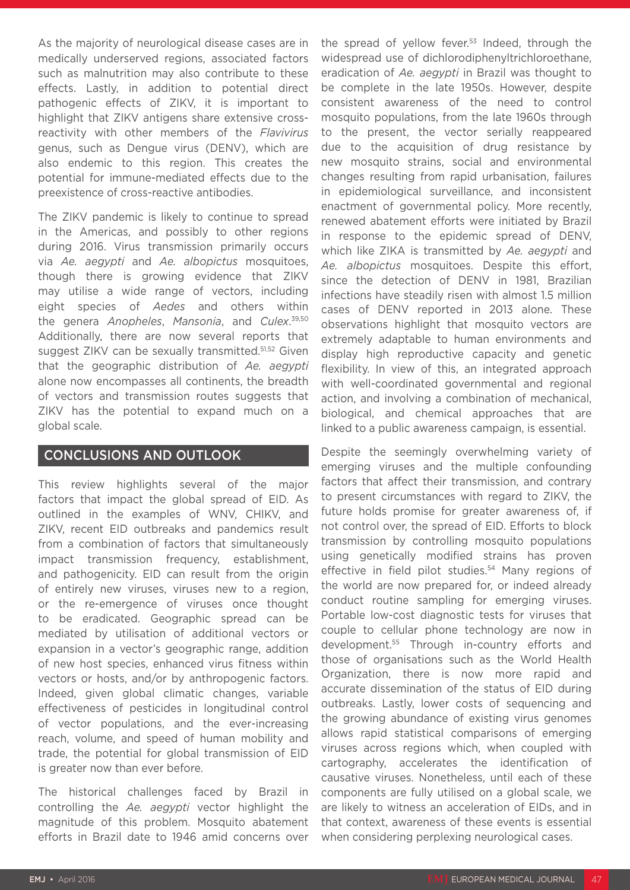As the majority of neurological disease cases are in medically underserved regions, associated factors such as malnutrition may also contribute to these effects. Lastly, in addition to potential direct pathogenic effects of ZIKV, it is important to highlight that ZIKV antigens share extensive crossreactivity with other members of the *Flavivirus* genus, such as Dengue virus (DENV), which are also endemic to this region. This creates the potential for immune-mediated effects due to the preexistence of cross-reactive antibodies.

The ZIKV pandemic is likely to continue to spread in the Americas, and possibly to other regions during 2016. Virus transmission primarily occurs via *Ae. aegypti* and *Ae. albopictus* mosquitoes, though there is growing evidence that ZIKV may utilise a wide range of vectors, including eight species of *Aedes* and others within the genera *Anopheles*, *Mansonia*, and *Culex*. 39,50 Additionally, there are now several reports that suggest ZIKV can be sexually transmitted.51,52 Given that the geographic distribution of *Ae. aegypti* alone now encompasses all continents, the breadth of vectors and transmission routes suggests that ZIKV has the potential to expand much on a global scale.

#### CONCLUSIONS AND OUTLOOK

This review highlights several of the major factors that impact the global spread of EID. As outlined in the examples of WNV, CHIKV, and ZIKV, recent EID outbreaks and pandemics result from a combination of factors that simultaneously impact transmission frequency, establishment, and pathogenicity. EID can result from the origin of entirely new viruses, viruses new to a region, or the re-emergence of viruses once thought to be eradicated. Geographic spread can be mediated by utilisation of additional vectors or expansion in a vector's geographic range, addition of new host species, enhanced virus fitness within vectors or hosts, and/or by anthropogenic factors. Indeed, given global climatic changes, variable effectiveness of pesticides in longitudinal control of vector populations, and the ever-increasing reach, volume, and speed of human mobility and trade, the potential for global transmission of EID is greater now than ever before.

The historical challenges faced by Brazil in controlling the *Ae. aegypti* vector highlight the magnitude of this problem. Mosquito abatement efforts in Brazil date to 1946 amid concerns over

the spread of yellow fever.<sup>53</sup> Indeed, through the widespread use of dichlorodiphenyltrichloroethane, eradication of *Ae. aegypti* in Brazil was thought to be complete in the late 1950s. However, despite consistent awareness of the need to control mosquito populations, from the late 1960s through to the present, the vector serially reappeared due to the acquisition of drug resistance by new mosquito strains, social and environmental changes resulting from rapid urbanisation, failures in epidemiological surveillance, and inconsistent enactment of governmental policy. More recently, renewed abatement efforts were initiated by Brazil in response to the epidemic spread of DENV, which like ZIKA is transmitted by *Ae. aegypti* and *Ae. albopictus* mosquitoes. Despite this effort, since the detection of DENV in 1981, Brazilian infections have steadily risen with almost 1.5 million cases of DENV reported in 2013 alone. These observations highlight that mosquito vectors are extremely adaptable to human environments and display high reproductive capacity and genetic flexibility. In view of this, an integrated approach with well-coordinated governmental and regional action, and involving a combination of mechanical, biological, and chemical approaches that are linked to a public awareness campaign, is essential.

Despite the seemingly overwhelming variety of emerging viruses and the multiple confounding factors that affect their transmission, and contrary to present circumstances with regard to ZIKV, the future holds promise for greater awareness of, if not control over, the spread of EID. Efforts to block transmission by controlling mosquito populations using genetically modified strains has proven effective in field pilot studies.<sup>54</sup> Many regions of the world are now prepared for, or indeed already conduct routine sampling for emerging viruses. Portable low-cost diagnostic tests for viruses that couple to cellular phone technology are now in development.55 Through in-country efforts and those of organisations such as the World Health Organization, there is now more rapid and accurate dissemination of the status of EID during outbreaks. Lastly, lower costs of sequencing and the growing abundance of existing virus genomes allows rapid statistical comparisons of emerging viruses across regions which, when coupled with cartography, accelerates the identification of causative viruses. Nonetheless, until each of these components are fully utilised on a global scale, we are likely to witness an acceleration of EIDs, and in that context, awareness of these events is essential when considering perplexing neurological cases.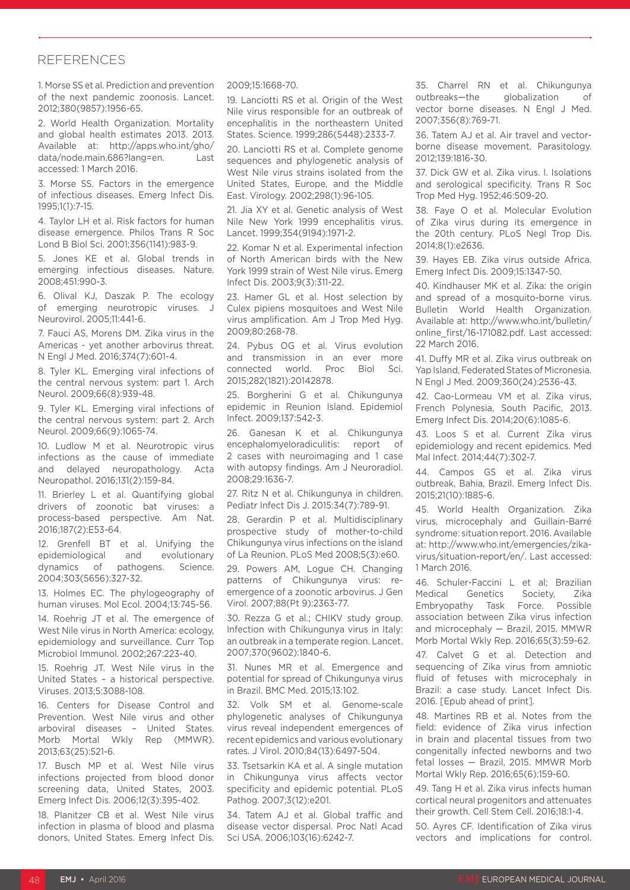#### **REFERENCES**

1. Morse SS et al. Prediction and prevention of the next pandemic zoonosis. Lancet. 2012;380(9857):1956-65.

2. World Health Organization. Mortality and global health estimates 2013. 2013. Available at: http://apps.who.int/gho/ data/node.main.686?lang=en. Last accessed: 1 March 2016.

3. Morse SS. Factors in the emergence of infectious diseases. Emerg Infect Dis. 1995;1(1):7-15.

4. Taylor LH et al. Risk factors for human disease emergence. Philos Trans R Soc Lond B Biol Sci. 2001;356(1141):983-9.

5. Jones KE et al. Global trends in emerging infectious diseases. Nature. 2008;451:990-3.

6. Olival KJ, Daszak P. The ecology of emerging neurotropic viruses. J Neurovirol. 2005;11:441-6.

7. Fauci AS, Morens DM. Zika virus in the Americas - yet another arbovirus threat. N Engl J Med. 2016;374(7):601-4.

8. Tyler KL. Emerging viral infections of the central nervous system: part 1. Arch Neurol. 2009;66(8):939-48.

9. Tyler KL. Emerging viral infections of the central nervous system: part 2. Arch Neurol. 2009;66(9):1065-74.

10. Ludlow M et al. Neurotropic virus infections as the cause of immediate and delayed neuropathology. Acta Neuropathol. 2016;131(2):159-84.

11. Brierley L et al. Quantifying global drivers of zoonotic bat viruses: a process-based perspective. Am Nat. 2016;187(2):E53-64.

12. Grenfell BT et al. Unifying the epidemiological and evolutionary dynamics of pathogens. Science. 2004;303(5656):327-32.

13. Holmes EC. The phylogeography of human viruses. Mol Ecol. 2004;13:745-56.

14. Roehrig JT et al. The emergence of West Nile virus in North America: ecology, epidemiology and surveillance. Curr Top Microbiol Immunol. 2002;267:223-40.

15. Roehrig JT. West Nile virus in the United States – a historical perspective. Viruses. 2013;5:3088-108.

16. Centers for Disease Control and Prevention. West Nile virus and other arboviral diseases – United States. Morb Mortal Wkly Rep (MMWR). 2013;63(25):521-6.

17. Busch MP et al. West Nile virus infections projected from blood donor screening data, United States, 2003. Emerg Infect Dis. 2006;12(3):395-402.

18. Planitzer CB et al. West Nile virus infection in plasma of blood and plasma donors, United States. Emerg Infect Dis.

#### 2009;15:1668-70.

19. Lanciotti RS et al. Origin of the West Nile virus responsible for an outbreak of encephalitis in the northeastern United States. Science. 1999;286(5448):2333-7.

20. Lanciotti RS et al. Complete genome sequences and phylogenetic analysis of West Nile virus strains isolated from the United States, Europe, and the Middle East. Virology. 2002;298(1):96-105.

21. Jia XY et al. Genetic analysis of West Nile New York 1999 encephalitis virus. Lancet. 1999;354(9194):1971-2.

22. Komar N et al. Experimental infection of North American birds with the New York 1999 strain of West Nile virus. Emerg Infect Dis. 2003;9(3):311-22.

23. Hamer GL et al. Host selection by Culex pipiens mosquitoes and West Nile virus amplification. Am J Trop Med Hyg. 2009;80:268-78.

24. Pybus OG et al. Virus evolution and transmission in an ever more connected world. Proc Biol Sci. 2015;282(1821):20142878.

25. Borgherini G et al. Chikungunya epidemic in Reunion Island. Epidemiol Infect. 2009;137:542-3.

26. Ganesan K et al. Chikungunya encephalomyeloradiculitis: report of 2 cases with neuroimaging and 1 case with autopsy findings. Am J Neuroradiol. 2008;29:1636-7.

27. Ritz N et al. Chikungunya in children. Pediatr Infect Dis J. 2015:34(7):789-91.

28. Gerardin P et al. Multidisciplinary prospective study of mother-to-child Chikungunya virus infections on the island of La Reunion. PLoS Med 2008;5(3):e60.

29. Powers AM, Logue CH. Changing patterns of Chikungunya virus: reemergence of a zoonotic arbovirus. J Gen Virol. 2007;88(Pt 9):2363-77.

30. Rezza G et al.; CHIKV study group. Infection with Chikungunya virus in Italy: an outbreak in a temperate region. Lancet. 2007;370(9602):1840-6.

31. Nunes MR et al. Emergence and potential for spread of Chikungunya virus in Brazil. BMC Med. 2015;13:102.

32. Volk SM et al. Genome-scale phylogenetic analyses of Chikungunya virus reveal independent emergences of recent epidemics and various evolutionary rates. J Virol. 2010;84(13):6497-504.

33. Tsetsarkin KA et al. A single mutation in Chikungunya virus affects vector specificity and epidemic potential. PLoS Pathog. 2007;3(12):e201.

34. Tatem AJ et al. Global traffic and disease vector dispersal. Proc Natl Acad Sci USA. 2006;103(16):6242-7.

35. Charrel RN et al. Chikungunya outbreaks—the globalization of vector borne diseases. N Engl J Med. 2007;356(8):769-71.

36. Tatem AJ et al. Air travel and vectorborne disease movement. Parasitology. 2012;139:1816-30.

37. Dick GW et al. Zika virus. I. Isolations and serological specificity. Trans R Soc Trop Med Hyg. 1952;46:509-20.

38. Faye O et al. Molecular Evolution of Zika virus during its emergence in the 20th century. PLoS Negl Trop Dis. 2014;8(1):e2636.

39. Hayes EB. Zika virus outside Africa. Emerg Infect Dis. 2009;15:1347-50.

40. Kindhauser MK et al. Zika: the origin and spread of a mosquito-borne virus. Bulletin World Health Organization. Available at: http://www.who.int/bulletin/ online\_first/16-171082.pdf. Last accessed: 22 March 2016.

41. Duffy MR et al. Zika virus outbreak on Yap Island, Federated States of Micronesia. N Engl J Med. 2009;360(24):2536-43.

42. Cao-Lormeau VM et al. Zika virus, French Polynesia, South Pacific, 2013. Emerg Infect Dis. 2014;20(6):1085-6.

43. Loos S et al. Current Zika virus epidemiology and recent epidemics. Med Mal Infect. 2014;44(7):302-7.

44. Campos GS et al. Zika virus outbreak, Bahia, Brazil. Emerg Infect Dis. 2015;21(10):1885-6.

45. World Health Organization. Zika virus, microcephaly and Guillain-Barré syndrome: situation report. 2016. Available at: http://www.who.int/emergencies/zikavirus/situation-report/en/. Last accessed: 1 March 2016.

46. Schuler-Faccini L et al; Brazilian Medical Genetics Society, Zika Embryopathy Task Force. Possible association between Zika virus infection and microcephaly — Brazil, 2015. MMWR Morb Mortal Wkly Rep. 2016;65(3):59-62.

47. Calvet G et al. Detection and sequencing of Zika virus from amniotic fluid of fetuses with microcephaly in Brazil: a case study. Lancet Infect Dis. 2016. [Epub ahead of print].

48. Martines RB et al. Notes from the field: evidence of Zika virus infection in brain and placental tissues from two congenitally infected newborns and two fetal losses — Brazil, 2015. MMWR Morb Mortal Wkly Rep. 2016;65(6):159-60.

49. Tang H et al. Zika virus infects human cortical neural progenitors and attenuates their growth. Cell Stem Cell. 2016;18:1-4.

50. Ayres CF. Identification of Zika virus vectors and implications for control.